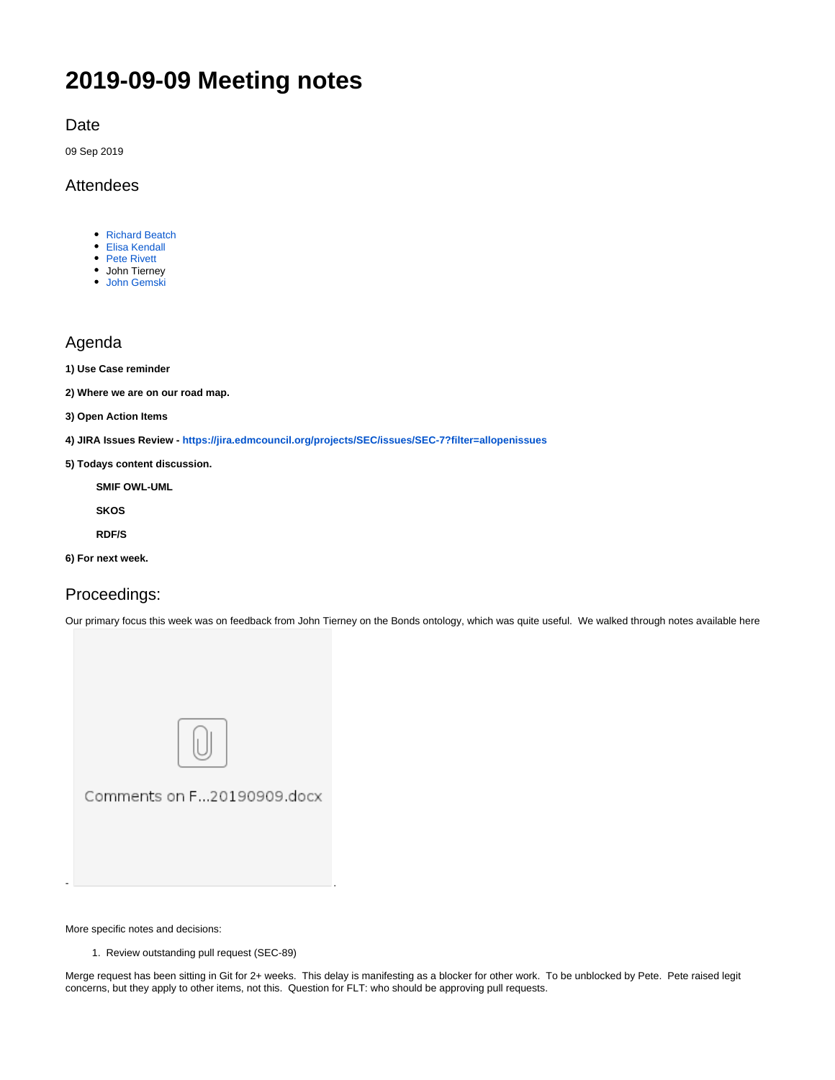# **2019-09-09 Meeting notes**

Date

09 Sep 2019

## Attendees

- [Richard Beatch](https://wiki.edmcouncil.org/display/~rbeatch)
- [Elisa Kendall](https://wiki.edmcouncil.org/display/~ElisaKendall)
- [Pete Rivett](https://wiki.edmcouncil.org/display/~rivettp) John Tierney
- [John Gemski](https://wiki.edmcouncil.org/display/~jgemski)

## Agenda

- **1) Use Case reminder**
- **2) Where we are on our road map.**
- **3) Open Action Items**
- **4) JIRA Issues Review <https://jira.edmcouncil.org/projects/SEC/issues/SEC-7?filter=allopenissues>**
- **5) Todays content discussion.**

**SMIF OWL-UML SKOS**

**RDF/S**

**6) For next week.**

## Proceedings:

Our primary focus this week was on feedback from John Tierney on the Bonds ontology, which was quite useful. We walked through notes available here



More specific notes and decisions:

1. Review outstanding pull request (SEC-89)

Merge request has been sitting in Git for 2+ weeks. This delay is manifesting as a blocker for other work. To be unblocked by Pete. Pete raised legit concerns, but they apply to other items, not this. Question for FLT: who should be approving pull requests.